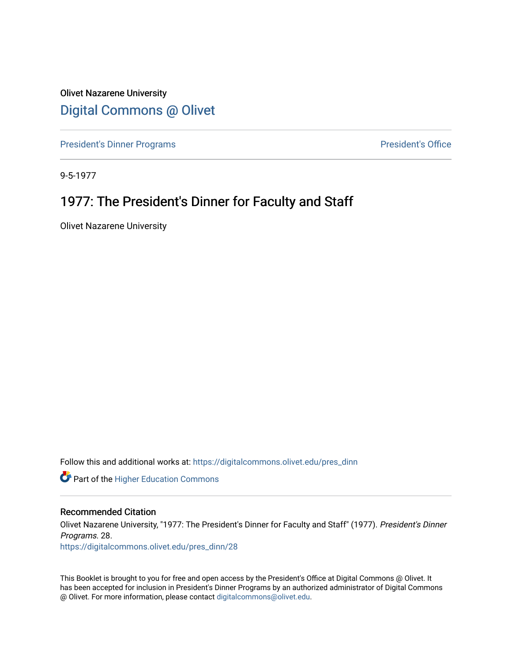Olivet Nazarene University [Digital Commons @ Olivet](https://digitalcommons.olivet.edu/)

[President's Dinner Programs](https://digitalcommons.olivet.edu/pres_dinn) **President's Office** 

9-5-1977

# 1977: The President's Dinner for Faculty and Staff

Olivet Nazarene University

Follow this and additional works at: [https://digitalcommons.olivet.edu/pres\\_dinn](https://digitalcommons.olivet.edu/pres_dinn?utm_source=digitalcommons.olivet.edu%2Fpres_dinn%2F28&utm_medium=PDF&utm_campaign=PDFCoverPages)

**Part of the Higher Education Commons** 

### Recommended Citation

Olivet Nazarene University, "1977: The President's Dinner for Faculty and Staff" (1977). President's Dinner Programs. 28. [https://digitalcommons.olivet.edu/pres\\_dinn/28](https://digitalcommons.olivet.edu/pres_dinn/28?utm_source=digitalcommons.olivet.edu%2Fpres_dinn%2F28&utm_medium=PDF&utm_campaign=PDFCoverPages) 

This Booklet is brought to you for free and open access by the President's Office at Digital Commons @ Olivet. It has been accepted for inclusion in President's Dinner Programs by an authorized administrator of Digital Commons @ Olivet. For more information, please contact [digitalcommons@olivet.edu.](mailto:digitalcommons@olivet.edu)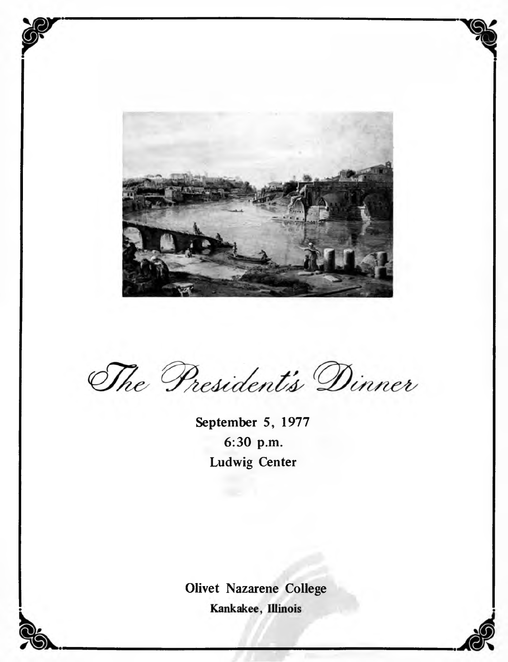

**7(8n**

The President's Dinner

**September 5, 1977 6:30 p.m. Ludwig Center**

**Olivet Nazarene College**Kankakee, Illinois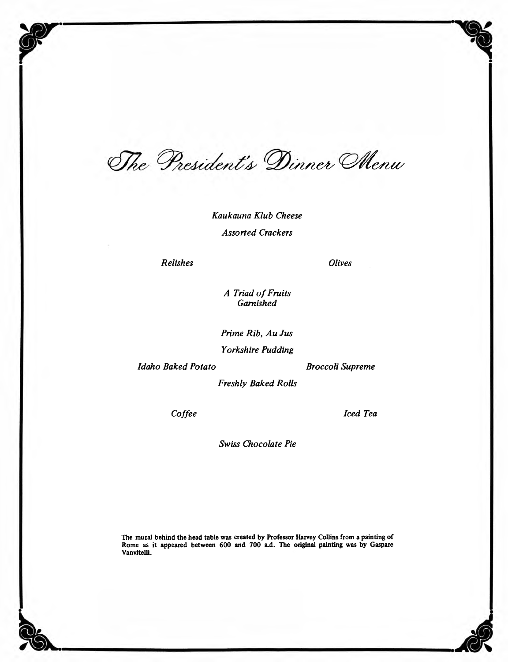The President's Dinner Menu

*Kaukauna Klub Cheese Assorted Crackers*

*Relishes*

*Olives*

*A Triad o f Fruits Garnished*

*Prime Rib, Au Jus*

*Yorkshire Pudding*

*Idaho Baked Potato*

*Broccoli Supreme*

*Freshly Baked Rolls*

*Coffee*

*Iced Tea*

*Swiss Chocolate Pie*

The mural behind the head table was created by Professor Harvey Collins from a painting of Rome as it appeared between 600 and 700 a.d. The original painting was by Gaspare Vanvitelli.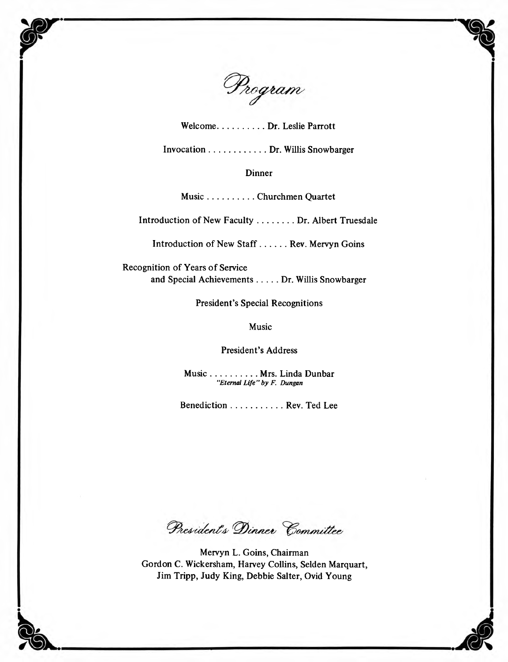

**Welcome.....................Dr. Leslie Parrott**

**Invocation..........................Dr. Willis Snowbarger**

### **Dinner**

**Music.....................Churchmen Quartet**

**Introduction of New Faculty................ Dr. Albert Truesdale**

**Introduction of New Staff............Rev. Mervyn Goins**

**Recognition of Years of Service and Special Achievements......... Dr. Willis Snowbarger**

**President's Special Recognitions**

**Music**

**President's Address**

**Music.....................Mrs. Linda Dunbar** *"Eternal Life"by F. Dungan*

**Benediction....................... Rev. Ted Lee**

President's Dinner Committee

**Mervyn L. Goins, Chairman Gordon C. Wickersham, Harvey Collins, Selden Marquart, Jim Tripp, Judy King, Debbie Salter, Ovid Young**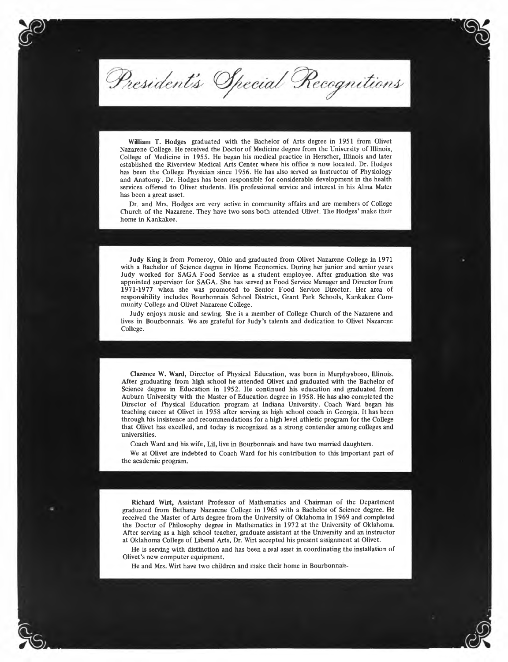President's Special Recognitions

William T. Hodges graduated with the Bachelor of Arts degree in 1951 from Olivet Nazarene College. He received the Doctor of Medicine degree from the University of Illinois, College of Medicine in 1955. He began his medical practice in Herscher, Illinois and later established the Riverview Medical Arts Center where his office is now located. Dr. Hodges has been the College Physician since 1956. He has also served as Instructor of Physiology and Anatomy. Dr. Hodges has been responsible for considerable development in the health services offered to Olivet students. His professional service and interest in his Alma Mater has been a great asset.

Dr. and Mrs. Hodges are very active in community affairs and are members of College Church of the Nazarene. They have two sons both attended Olivet. The Hodges' make their home in Kankakee.

Judy King is from Pomeroy, Ohio and graduated from Olivet Nazarene College in 1971 with a Bachelor of Science degree in Home Economics. During her junior and senior years Judy worked for SAGA Food Service as a student employee. After graduation she was appointed supervisor for SAGA. She has served as Food Service Manager and Director from 1971-1977 when she was promoted to Senior Food Service Director. Her area of responsibility includes Bourbonnais School District, Grant Park Schools, Kankakee Community College and Olivet Nazarene College.

Judy enjoys music and sewing. She is a member of College Church of the Nazarene and lives in Bourbonnais. We are grateful for Judy's talents and dedication to Olivet Nazarene College.

Clarence W. Ward, Director of Physical Education, was born in Murphysboro, Illinois. After graduating from high school he attended Olivet and graduated with the Bachelor of Science degree in Education in 1952. He continued his education and graduated from Auburn University with the Master of Education degree in 1958. He has also completed the Director of Physical Education program at Indiana University. Coach Ward began his teaching career at Olivet in 1958 after serving as high school coach in Georgia. It has been through his insistence and recommendations for a high level athletic program for the College that Olivet has excelled, and today is recognized as a strong contender among colleges and universities.

Coach Ward and his wife, Lil, live in Bourbonnais and have two married daughters.

We at Olivet are indebted to Coach Ward for his contribution to this important part of the academic program.

Richard Wirt, Assistant Professor of Mathematics and Chairman of the Department graduated from Bethany Nazarene College in 1965 with a Bachelor of Science degree. He received the Master of Arts degree from the University of Oklahoma in 1969 and completed the Doctor of Philosophy degree in Mathematics in 1972 at the University of Oklahoma. After serving as a high school teacher, graduate assistant at the University and an instructor at Oklahoma College of Liberal Arts, Dr. Wirt accepted his present assignment at Olivet.

He is serving with distinction and has been a real asset in coordinating the installation of Olivet's new computer equipment.

He and Mrs. Wirt have two children and make their home in Bourbonnais.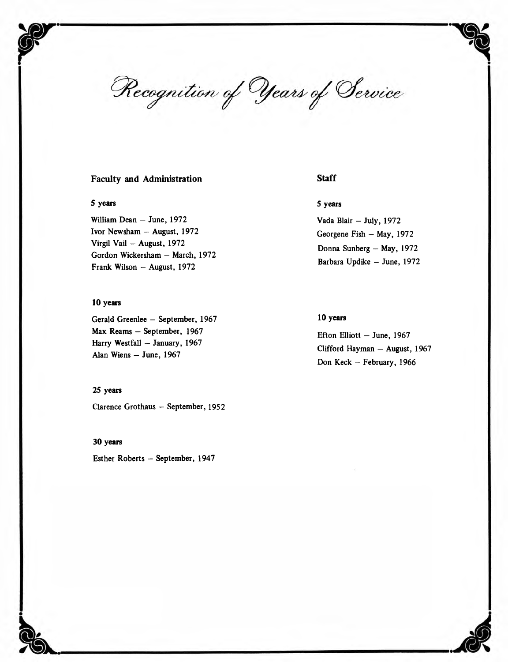Recognition of Years of Service

### **Faculty and Administration**

#### **5 years**

William Dean — June, 1972 Ivor Newsham — August, 1972 Virgil Vail — August, 1972 Gordon Wickersham — March, 1972 Frank Wilson - August, 1972

#### **10 years**

Gerald Greenlee — September, 1967 Max Reams — September, 1967 Harry Westfall — January, 1967 Alan Wiens — June, 1967

### **25 years**

Clarence Grothaus - September, 1952

**30 years**

Esther Roberts — September, 1947

### **Staff**

### **5 years**

Vada Blair - July, 1972 Georgene Fish - May, 1972 Donna Sunberg — May, 1972 Barbara Updike - June, 1972

### **10 years**

Efton Elliott — June, 1967 Clifford Hayman — August, 1967 Don Keck - February, 1966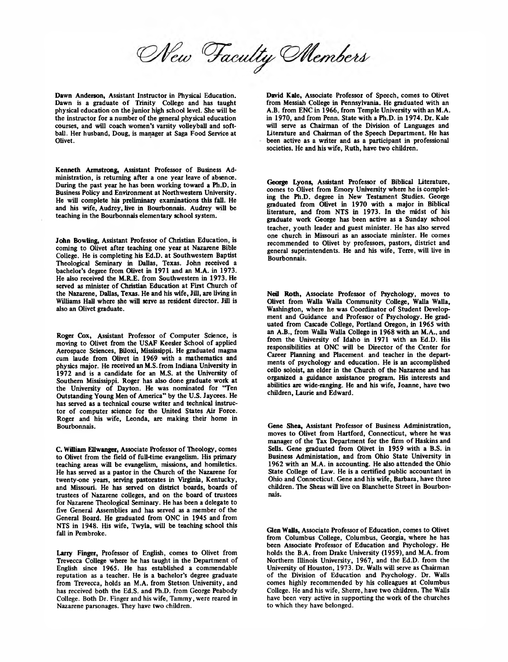New Faculty Members

Dawn Anderson, Assistant Instructor in Physical Education. Dawn is a graduate of Trinity College and has taught physical education on the junior high school level. She will be the instructor for a number of the general physical education courses, and will coach women's varsity volleyball and softball. Her husband, Doug, is manager at Saga Food Service at Olivet.

**Kenneth Armstrong,** Assistant Professor of Business Administration, is returning after a one year leave of absence. During the past year he has been working toward a Ph.D. in Business Policy and Environment at Northwestern University. He will complete his preliminary examinations this fall. He and his wife, Audrey, live in Bourbonnais. Audrey will be teaching in the Bourbonnais elementary school system.

John Bowling, Assistant Professor of Christian Education, is coming to Olivet after teaching one year at Nazarene Bible College. He is completing his Ed.D. at Southwestern Baptist Theological Seminary in Dallas, Texas. John received a bachelor's degree from Olivet in 1971 and an M.A. in 1973. He also received the M.R.E. from Southwestern in 1973. He served as minister of Christian Education at First Church of the Nazarene, Dallas, Texas. He and his wife, Jill, are living in Williams Hall where she will serve as resident director. Jill is also an Olivet graduate.

Roger Cox, Assistant Professor of Computer Science, is moving to Olivet from the USAF Keesler School of applied Aerospace Sciences, Biloxi, Mississippi. He graduated magna cum laude from Olivet in 1969 with a mathematics and physics major. He received an M.S. from Indiana University in 1972 and is a candidate for an M.S. at the University of Southern Mississippi. Roger has also done graduate work at the University of Dayton. He was nominated for "Ten Outstanding Young Men of America" by the U.S. Jaycees. He has served as a technical course writer and technical instructor of computer science for the United States Air Force. Roger and his wife, Leonda, are making their home in Bourbonnais.

C. **William Ellwangei,** Associate Professor of Theology, comes to Olivet from the field of full-time evangelism. His primary teaching areas will be evangelism, missions, and homiletics. He has served as a pastor in the Church of the Nazarene for twenty-one years, serving pastorates in Virginia, Kentucky, and Missouri. He has served on district boards, boards of trustees of Nazarene colleges, and on the board of trustees for Nazarene Theological Seminary. He has been a delegate to five General Assemblies and has served as a member of the General Board. He graduated from ONC in 1945 and from NTS in 1948. His wife, Twyla, will be teaching school this fall in Pembroke.

**Larry Finger,** Professor of English, comes to Olivet from Trevecca College where he has taught in the Department of English since 1965. He has established a commendable reputation as a teacher. He is a bachelor's degree graduate from Trevecca, holds an M.A. from Stetson University, and has received both the Ed.S. and Ph.D. from George Peabody College. Both Dr. Finger and his wife, Tammy, were reared in Nazarene parsonages. They have two children.

David **Kale,** Associate Professor of Speech, comes to Olivet from Messiah College in Pennsylvania. He graduated with an A.B. from ENC in 1966, from Temple University with an M.A. in 1970, and from Penn. State with a Ph.D. in 1974. Dr. Kale will serve as Chairman of the Division of Languages and Literature and Chairman of the Speech Department. He has been active as a writer and as a participant in professional societies. He and his wife, Ruth, have two children.

**George Lyons,** Assistant Professor of Biblical Literature, comes to Olivet from Emory University where he is completing the Ph.D. degree in New Testament Studies. George graduated from Olivet in 1970 with a major in Biblical literature, and from NTS in 1973. **In** the midst of his graduate work George has been active as a Sunday school teacher, youth leader and guest minister. He has also served one church in Missouri as an associate minister. He comes recommended to Olivet by professors, pastors, district and general superintendents. He and his wife, Terre, will live in Bourbonnais.

Neil **Roth,** Associate Professor of Psychology, moves to Olivet from Walla Walla Community College, Walla Walla, Washington, where he was Coordinator of Student Development and Guidance and Professor of Psychology. He graduated from Cascade College, Portland Oregon, in 1965 with an A.B., from Walla Walla College in 1968 with an M.A., and from the University of Idaho in 1971 with an Ed.D. His responsibilities at ONC will be Director of the Center for Career Planning and Placement, and teacher in the departments of psychology and education. He is an accomplished cello soloist, an elder in the Church of the Nazarene and has organized a guidance assistance program. His interests and abilities are wide-ranging. He and his wife, Joanne, have two children, Laurie and Edward.

Gene Shea, Assistant Professor of Business Administration, moves to Olivet from Hartford, Connecticut, where he was manager of the Tax Department for the firm of Haskins and Sells. Gene graduated from Olivet in 1959 with a B.S. in Business Administation, and from Ohio State University in 1962 with an M.A. in accounting. He also attended the Ohio State College of Law. He is a certified public accountant in Ohio and Connecticut. Gene and his wife, Barbara, have three children. The Sheas will live on Blanchette Street in Bourbonnais.

**Glen Walls,** Associate Professor of Education, comes to Olivet from Columbus College, Columbus, Georgia, where he has been Associate Professor of Education and Psychology. He holds the B.A. from Drake University (1959), and M.A. from Northern Illinois University, 1967, and the Ed.D. from the University of Houston, 1973. Dr. Walls will serve as Chairman of the Division of Education and Psychology. Dr. Walls comes highly recommended by his colleagues at Columbus College. He and his wife, Sherre, have two children. The Walls have been very active in supporting the work of the churches to which they have belonged.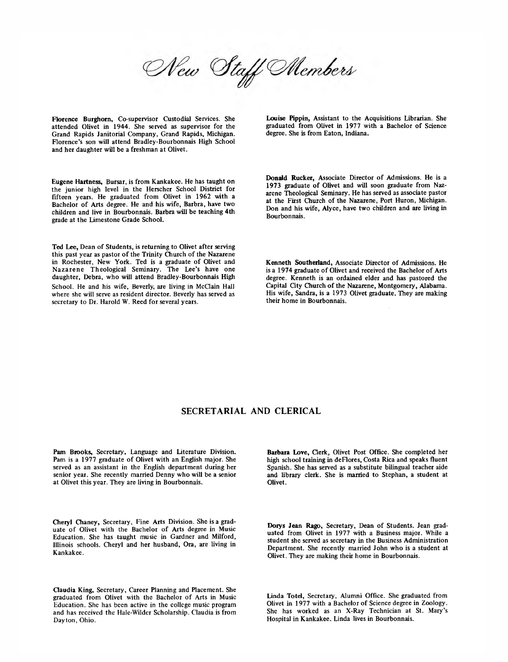New Staff Members

Florence Burghorn, Co-supervisor Custodial Services. She attended Olivet in 1944. She served as supervisor for the Grand Rapids Janitorial Company, Grand Rapids, Michigan. Florence's son will attend Bradley-Bourbonnais High School and her daughter will be a freshman at Olivet.

Eugene Hartness, Bursar, is from Kankakee. He has taught on the junior high level in the Herscher School District for fifteen years. He graduated from Olivet in 1962 with a Bachelor of Arts degree. He and his wife, Barbra, have two children and live in Bourbonnais. Barbra will be teaching 4th grade at the Limestone Grade School.

Ted Lee, Dean of Students, is returning to Olivet after serving this past year as pastor of the Trinity Church of the Nazarene in Rochester, New York. Ted is a graduate of Olivet and Nazarene Theological Seminary. The Lee's have one daughter, Debra, who will attend Bradley-Bourbonnais High School. He and his wife, Beverly, are living in McClain Hall where she will serve as resident director. Beverly has served as secretary to Dr. Harold W. Reed for several years.

Louise Pippin, Assistant to the Acquisitions Librarian. She graduated from Olivet in 1977 with a Bachelor of Science degree. She is from Eaton, Indiana.

Donald Rucker, Associate Director of Admissions. He is a 1973 graduate of Olivet and will soon graduate from Nazarene Theological Seminary. He has served as associate pastor at the First Church of the Nazarene, Port Huron, Michigan. Don and his wife, Alyce, have two children and are living in Bourbonnais.

Kenneth Southerland, Associate Director of Admissions. He is a 1974 graduate of Olivet and received the Bachelor of Arts degree. Kenneth is an ordained elder and has pastored the Capital City Church of the Nazarene, Montgomery, Alabama. His wife, Sandra, is a 1973 Olivet graduate. They are making their home in Bourbonnais.

### **SECRETARIAL AND CLERICAL**

Pam Brooks, Secretary, Language and Literature Division. Pam is a 1977 graduate of Olivet with an English major. She served as an assistant in the English department during her senior year. She recently married Denny who will be a senior at Olivet this year. They are living in Bourbonnais.

Cheryl Chaney, Secretary, Fine Arts Division. She is a graduate of Olivet with the Bachelor of Arts degree in Music Education. She has taught music in Gardner and Milford, Illinois schools. Cheryl and her husband, Ora, are living in Kankakee.

Claudia King, Secretary, Career Planning and Placement. She graduated from Olivet with the Bachelor of Arts in Music Education. She has been active in the college music program and has received the Hale-Wilder Scholarship. Claudia is from Dayton, Ohio.

Barbara Love, Clerk, Olivet Post Office. She completed her high school training in deFlores, Costa Rica and speaks fluent Spanish. She has served as a substitute bilingual teacher aide and library clerk. She is married to Stephan, a student at Olivet.

Dorys Jean Rago, Secretary, Dean of Students. Jean graduated from Olivet in 1977 with a Business major. While a student she served as secretary in the Business Administration Department. She recently married John who is a student at Olivet. They are making their home in Bourbonnais.

Linda Totel, Secretary, Alumni Office. She graduated from Olivet in 1977 with a Bachelor of Science degree in Zoology. She has worked as an X-Ray Technician at St. Mary's Hospital in Kankakee. Linda lives in Bourbonnais.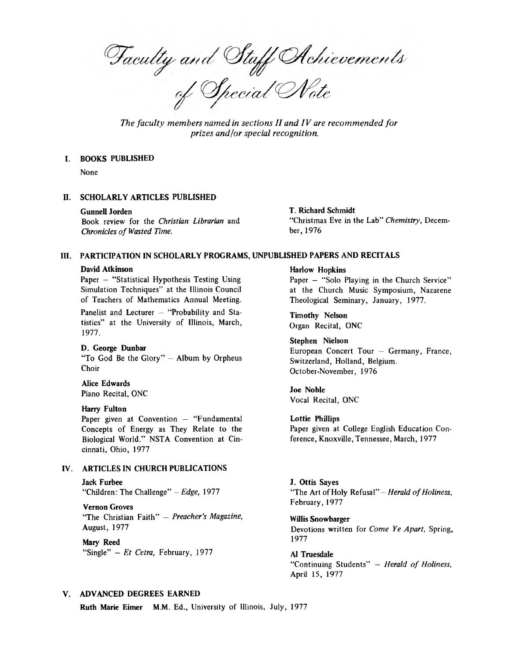Faculty and Staff Achievements<br>of Special Note

The faculty members named in sections II and IV are recommended for *prizes and/or special recognition.*

#### I. BOOKS PUBLISHED

None

#### H. SCHOLARLY ARTICLES PUBLISHED

#### Gunnell Jorden

Book review for the *Christian Librarian* and *Chronicles of Wasted Time.* 

#### T. Richard Schmidt

"Christmas Eve in the Lab" *Chemistry,* December, 1976

### III. PARTICIPATION IN SCHOLARLY PROGRAMS, UNPUBLISHED PAPERS AND RECITALS

#### David Atkinson

Paper - "Statistical Hypothesis Testing Using Simulation Techniques" at the Illinois Council of Teachers of Mathematics Annual Meeting.

Panelist and Lecturer - "Probability and Statistics" at the University of Illinois, March, 1977.

#### D. George Dunbar

"To God Be the Glory" – Album by Orpheus Choir

### Alice Edwards Piano Recital, ONC

#### Harry Fulton

Paper given at Convention  $-$  "Fundamental Concepts of Energy as They Relate to the Biological World." NSTA Convention at Cincinnati, Ohio, 1977

#### IV. ARTICLES IN CHURCH PUBLICATIONS

Jack Furbee "Children: The Challenge" *- Edge,* 1977

#### Vernon Groves

"The Christian Faith" - *Preacher's Magazine,* August, 1977

Mary Reed "Single" - *Et Cetra,* February, 1977

#### Harlow Hopkins

Paper - "Solo Playing in the Church Service" at the Church Music Symposium, Nazarene Theological Seminary, January, 1977.

Timothy Nelson Organ Recital, ONC

Stephen Nielson European Concert Tour — Germany, France, Switzerland, Holland, Belgium. October-November, 1976

Joe Noble Vocal Recital, ONC

Lottie Phillips Paper given at College English Education Conference, Knoxville, Tennessee, March, 1977

J. Ottis Sayes "The Art of Holy Refusal" - *Herald of Holiness*, February, 1977

Willis Snowbarger Devotions written for *Come Ye Apart,* Spring, 1977

A1 Truesdale "Continuing Students" - Herald of Holiness, April 15, 1977

#### V. ADVANCED DEGREES EARNED

Ruth Marie Eimer M.M. Ed., University of Illinois, July, 1977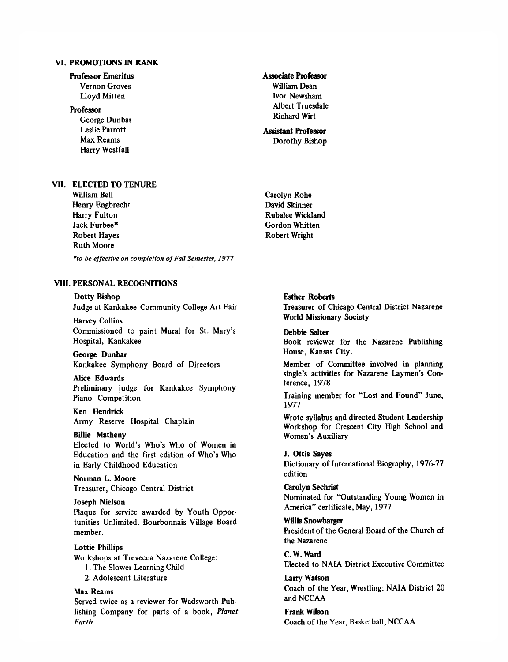### **VI. PROMOTIONS IN RANK**

### **Professor Emeritus**

Vernon Groves Lloyd Mitten

#### **Professor**

George Dunbar Leslie Parrott Max Reams Harry Westfall

### **Associate Professor** William Dean Ivor Newsham Albert Truesdale Richard Wirt

#### **Assistant Professor** Dorothy Bishop

**VII. ELECTED TO TENURE**

William Bell Henry Engbrecht Harry Fulton Jack Furbee\* Robert Hayes Ruth Moore

\*to be effective on completion of Fall Semester, 1977

### **VIII. PERSONAL RECOGNITIONS**

**Dotty Bishop**

Judge at Kankakee Community College Art Fair

**Harvey Collins** Commissioned to paint Mural for St. Mary's Hospital, Kankakee

**George Dunbar** Kankakee Symphony Board of Directors

**Alice Edwards** Preliminary judge for Kankakee Symphony Piano Competition

**Ken Hendrick** Army Reserve Hospital Chaplain

**Billie Matheny** Elected to World's Who's Who of Women in Education and the first edition of Who's Who in Early Childhood Education

**Norman L. Moore** Treasurer, Chicago Central District

**Joseph Nielson** Plaque for service awarded by Youth Opportunities Unlimited. Bourbonnais Village Board member.

**Lottie Phillips** Workshops at Trevecca Nazarene College: 1. The Slower Learning Child 2. Adolescent Literature

**Max Reams** Served twice as a reviewer for Wadsworth Publishing Company for parts of a book, *Planet Earth.*

Carolyn Rohe David Skinner Rubalee Wickland Gordon Whitten Robert Wright

#### **Esther Roberts**

Treasurer of Chicago Central District Nazarene World Missionary Society

**Debbie Salter** Book reviewer for the Nazarene Publishing House, Kansas City.

Member of Committee involved in planning single's activities for Nazarene Laymen's Conference, 1978

Training member for "Lost and Found" June, 1977

Wrote syllabus and directed Student Leadership Workshop for Crescent City High School and Women's Auxiliary

**J. Ottis Sayes**

Dictionary of International Biography, 1976-77 edition

**Carolyn Sechrist** Nominated for "Outstanding Young Women in America" certificate, May, 1977

**Willis Snowbarger** President of the General Board of the Church of the Nazarene

**C. W. Ward** Elected to NAIA District Executive Committee

**Larry Watson** Coach of the Year, Wrestling: NAIA District 20 and NCCAA

**Frank Wilson** Coach of the Year, Basketball, NCCAA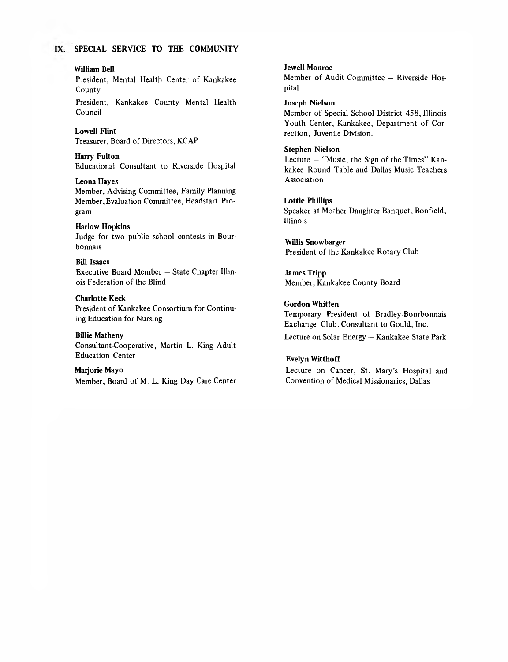### IX. SPECIAL SERVICE TO THE COMMUNITY

#### William Bell

President, Mental Health Center of Kankakee County

President, Kankakee County Mental Health Council

Lowell Flint Treasurer, Board of Directors, KCAP

Harry Fulton Educational Consultant to Riverside Hospital

Leona Hayes Member, Advising Committee, Family Planning Member, Evaluation Committee, Headstart Program

#### Harlow Hopkins

Judge for two public school contests in Bourbonnais

### Bill Isaacs

Executive Board Member — State Chapter Illinois Federation of the Blind

#### Charlotte Keck

President of Kankakee Consortium for Continuing Education for Nursing

Billie Matheny

Consultant-Cooperative, Martin L. King Adult Education Center

## Marjorie Mayo

Member, Board of M. L. King Day Care Center

Jewell Monroe Member of Audit Committee — Riverside Hospital

Joseph Nielson Member of Special School District 458, Illinois Youth Center, Kankakee, Department of Correction, Juvenile Division.

#### Stephen Nielson

Lecture — "Music, the Sign of the Times" Kankakee Round Table and Dallas Music Teachers Association

Lottie Phillips Speaker at Mother Daughter Banquet, Bonfield, Illinois

Willis Snowbarger President of the Kankakee Rotary Club

James Tripp Member, Kankakee County Board

### Gordon Whitten

Temporary President of Bradley-Bourbonnais Exchange Club. Consultant to Gould, Inc. Lecture on Solar Energy — Kankakee State Park

#### Evelyn Witthoff

Lecture on Cancer, St. Mary's Hospital and Convention of Medical Missionaries, Dallas